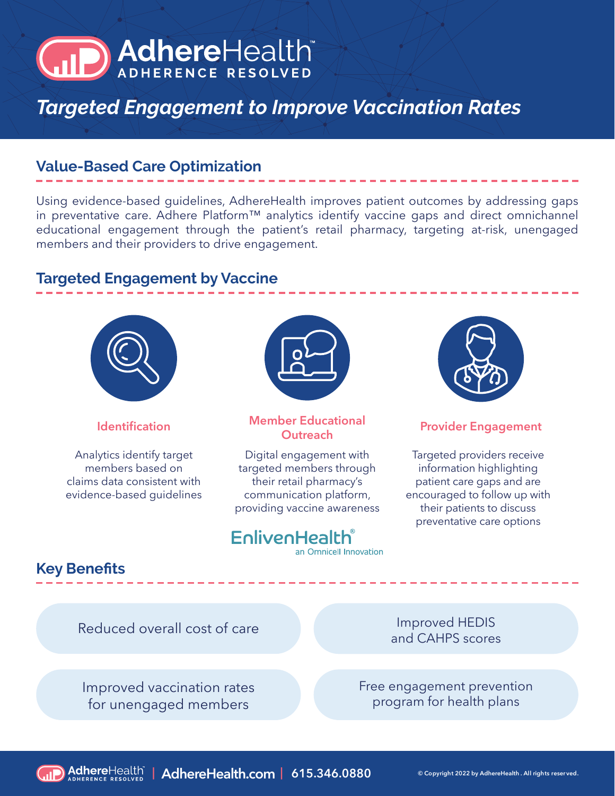# AdhereHealth

## *Targeted Engagement to Improve Vaccination Rates*

## **Value-Based Care Optimization**

Using evidence-based guidelines, AdhereHealth improves patient outcomes by addressing gaps in preventative care. Adhere Platform™ analytics identify vaccine gaps and direct omnichannel educational engagement through the patient's retail pharmacy, targeting at-risk, unengaged members and their providers to drive engagement.

## **Targeted Engagement by Vaccine**



Analytics identify target members based on claims data consistent with evidence-based guidelines



# **Identification Member Educational**

Digital engagement with targeted members through their retail pharmacy's communication platform, providing vaccine awareness

## EnlivenHealth

an Omnicell Innovation



#### **Provider Engagement**

Targeted providers receive information highlighting patient care gaps and are encouraged to follow up with their patients to discuss preventative care options

## **Key Benefits**

Reduced overall cost of care

Improved HEDIS and CAHPS scores

Free engagement prevention program for health plans

Improved vaccination rates for unengaged members

**| AdhereHealth.com | 615.346.0880 © Copyright 2022 by AdhereHealth . All rights reser ved.**